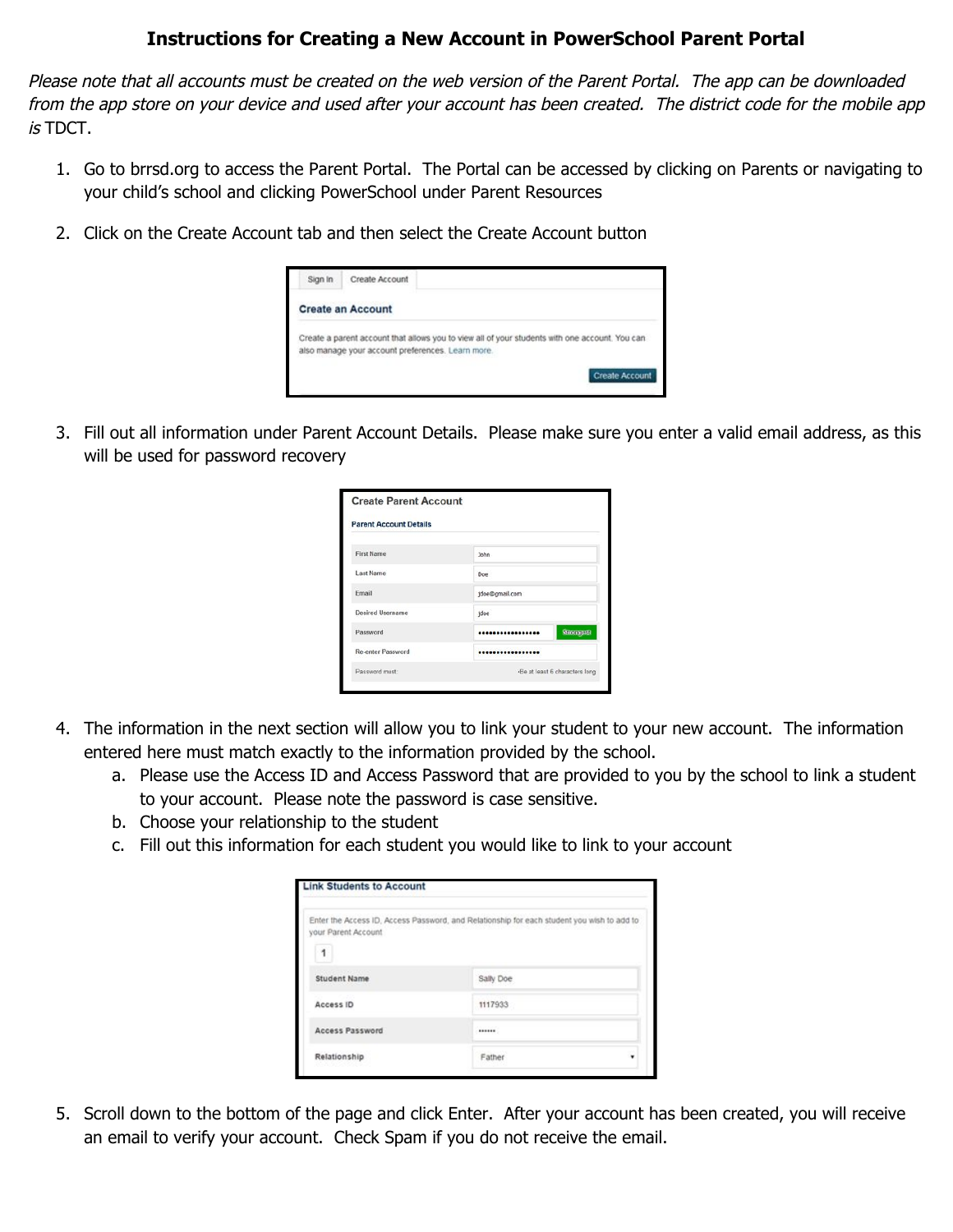## **Instructions for Creating a New Account in PowerSchool Parent Portal**

Please note that all accounts must be created on the web version of the Parent Portal. The app can be downloaded from the app store on your device and used after your account has been created. The district code for the mobile app is TDCT.

- 1. Go to brrsd.org to access the Parent Portal. The Portal can be accessed by clicking on Parents or navigating to your child's school and clicking PowerSchool under Parent Resources
- 2. Click on the Create Account tab and then select the Create Account button

| Sign In | Create Account                                                                                                                                      |                       |
|---------|-----------------------------------------------------------------------------------------------------------------------------------------------------|-----------------------|
|         | <b>Create an Account</b>                                                                                                                            |                       |
|         | Create a parent account that allows you to view all of your students with one account. You can<br>also manage your account preferences. Learn more. |                       |
|         |                                                                                                                                                     | <b>Create Account</b> |

3. Fill out all information under Parent Account Details. Please make sure you enter a valid email address, as this will be used for password recovery

| <b>Parent Account Details</b> |                                |
|-------------------------------|--------------------------------|
| <b>First Name</b>             | John                           |
| <b>Last Name</b>              | Doe                            |
| Email                         | jdoe@gmail.com                 |
| <b>Desired Username</b>       | jdoe                           |
| Password                      | <b>Strongest</b><br>           |
| <b>Re-enter Password</b>      |                                |
| Password must:                | -Be at least 6 characters long |

- 4. The information in the next section will allow you to link your student to your new account. The information entered here must match exactly to the information provided by the school.
	- a. Please use the Access ID and Access Password that are provided to you by the school to link a student to your account. Please note the password is case sensitive.
	- b. Choose your relationship to the student
	- c. Fill out this information for each student you would like to link to your account

|                     | Enter the Access ID, Access Password, and Relationship for each student you wish to add to |
|---------------------|--------------------------------------------------------------------------------------------|
| your Parent Account |                                                                                            |
| 1                   |                                                                                            |
| <b>Student Name</b> | Sally Doe                                                                                  |
| Access ID           | 1117933                                                                                    |
| Access Password     |                                                                                            |
| Relationship        | Father                                                                                     |

5. Scroll down to the bottom of the page and click Enter. After your account has been created, you will receive an email to verify your account. Check Spam if you do not receive the email.